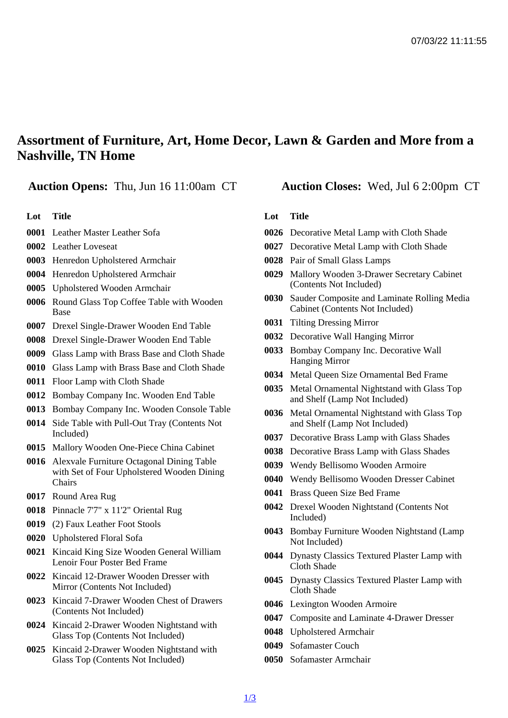## Assortment of Furniture, Art, Home Decor, Lawn & Garden and More from a Nashville, TN Home

Auction Opens: Thu, Jun 16 11:00am CT Auction Closes: Wed, Jul 6 2:00pm CT

## Lot Title

- Leather Master Leather Sofa
- Leather Loveseat
- Henredon Upholstered Armchair
- Henredon Upholstered Armchair
- Upholstered Wooden Armchair
- Round Glass Top Coffee Table with Wooden Base
- Drexel Single-Drawer Wooden End Table
- Drexel Single-Drawer Wooden End Table
- Glass Lamp with Brass Base and Cloth Shade
- Glass Lamp with Brass Base and Cloth Shade
- Floor Lamp with Cloth Shade
- Bombay Company Inc. Wooden End Table
- Bombay Company Inc. Wooden Console Table
- Side Table with Pull-Out Tray (Contents Not Included)
- Mallory Wooden One-Piece China Cabinet
- Alexvale Furniture Octagonal Dining Table with Set of Four Upholstered Wooden Dining **Chairs**
- Round Area Rug
- Pinnacle 7'7" x 11'2" Oriental Rug
- (2) Faux Leather Foot Stools
- Upholstered Floral Sofa
- Kincaid King Size Wooden General William Lenoir Four Poster Bed Frame
- Kincaid 12-Drawer Wooden Dresser with Mirror (Contents Not Included)
- Kincaid 7-Drawer Wooden Chest of Drawers (Contents Not Included)
- Kincaid 2-Drawer Wooden Nightstand with Glass Top (Contents Not Included)
- Kincaid 2-Drawer Wooden Nightstand with Glass Top (Contents Not Included)

## Lot Title

- Decorative Metal Lamp with Cloth Shade
- Decorative Metal Lamp with Cloth Shade
- Pair of Small Glass Lamps
- Mallory Wooden 3-Drawer Secretary Cabinet (Contents Not Included)
- Sauder Composite and Laminate Rolling Media Cabinet (Contents Not Included)
- Tilting Dressing Mirror
- Decorative Wall Hanging Mirror
- Bombay Company Inc. Decorative Wall Hanging Mirror
- Metal Queen Size Ornamental Bed Frame
- Metal Ornamental Nightstand with Glass Top and Shelf (Lamp Not Included)
- Metal Ornamental Nightstand with Glass Top and Shelf (Lamp Not Included)
- Decorative Brass Lamp with Glass Shades
- Decorative Brass Lamp with Glass Shades
- Wendy Bellisomo Wooden Armoire
- Wendy Bellisomo Wooden Dresser Cabinet
- Brass Queen Size Bed Frame
- Drexel Wooden Nightstand (Contents Not Included)
- Bombay Furniture Wooden Nightstand (Lamp Not Included)
- Dynasty Classics Textured Plaster Lamp with Cloth Shade
- Dynasty Classics Textured Plaster Lamp with Cloth Shade
- Lexington Wooden Armoire
- Composite and Laminate 4-Drawer Dresser
- Upholstered Armchair
- Sofamaster Couch
- Sofamaster Armchair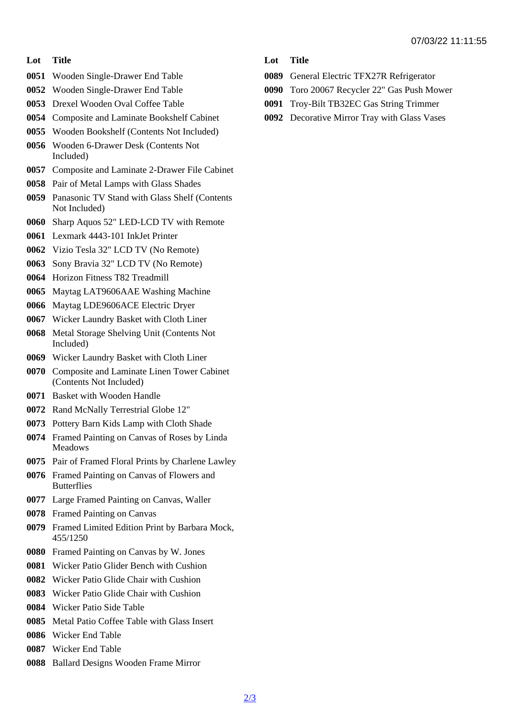## Lot Title

- Wooden Single-Drawer End Table
- Wooden Single-Drawer End Table
- Drexel Wooden Oval Coffee Table
- Composite and Laminate Bookshelf Cabinet
- Wooden Bookshelf (Contents Not Included)
- Wooden 6-Drawer Desk (Contents Not Included)
- Composite and Laminate 2-Drawer File Cabinet
- Pair of Metal Lamps with Glass Shades
- Panasonic TV Stand with Glass Shelf (Contents Not Included)
- Sharp Aquos 52" LED-LCD TV with Remote
- Lexmark 4443-101 InkJet Printer
- Vizio Tesla 32" LCD TV (No Remote)
- Sony Bravia 32" LCD TV (No Remote)
- Horizon Fitness T82 Treadmill
- Maytag LAT9606AAE Washing Machine
- Maytag LDE9606ACE Electric Dryer
- Wicker Laundry Basket with Cloth Liner
- Metal Storage Shelving Unit (Contents Not Included)
- Wicker Laundry Basket with Cloth Liner
- Composite and Laminate Linen Tower Cabinet (Contents Not Included)
- Basket with Wooden Handle
- Rand McNally Terrestrial Globe 12"
- Pottery Barn Kids Lamp with Cloth Shade
- Framed Painting on Canvas of Roses by Linda Meadows
- Pair of Framed Floral Prints by Charlene Lawley
- Framed Painting on Canvas of Flowers and **Butterflies**
- Large Framed Painting on Canvas, Waller
- Framed Painting on Canvas
- Framed Limited Edition Print by Barbara Mock, 455/1250
- Framed Painting on Canvas by W. Jones
- Wicker Patio Glider Bench with Cushion
- Wicker Patio Glide Chair with Cushion
- Wicker Patio Glide Chair with Cushion
- Wicker Patio Side Table
- Metal Patio Coffee Table with Glass Insert
- Wicker End Table
- Wicker End Table
- Ballard Designs Wooden Frame Mirror
- Lot Title
- General Electric TFX27R Refrigerator
- Toro 20067 Recycler 22" Gas Push Mower
- Troy-Bilt TB32EC Gas String Trimmer
- Decorative Mirror Tray with Glass Vases